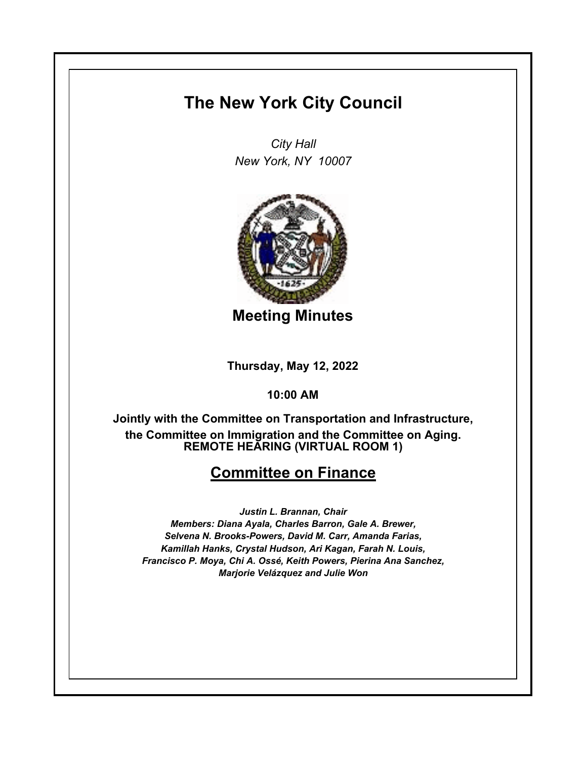# **The New York City Council**

*City Hall New York, NY 10007*



**Meeting Minutes**

**Thursday, May 12, 2022**

**10:00 AM**

**REMOTE HEARING (VIRTUAL ROOM 1) Jointly with the Committee on Transportation and Infrastructure, the Committee on Immigration and the Committee on Aging.**

## **Committee on Finance**

*Justin L. Brannan, Chair Members: Diana Ayala, Charles Barron, Gale A. Brewer, Selvena N. Brooks-Powers, David M. Carr, Amanda Farias, Kamillah Hanks, Crystal Hudson, Ari Kagan, Farah N. Louis, Francisco P. Moya, Chi A. Ossé, Keith Powers, Pierina Ana Sanchez, Marjorie Velázquez and Julie Won*